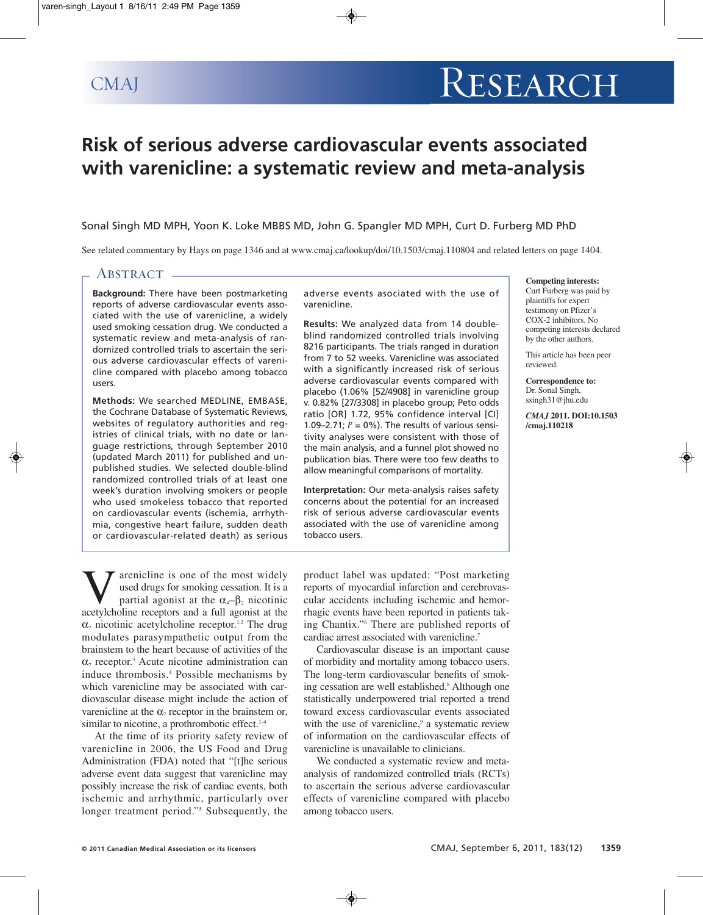# **Risk of serious adverse cardiovascular events associated with varenicline: a systematic review and meta-analysis**

Sonal Singh MD MPH, Yoon K. Loke MBBS MD, John G. Spangler MD MPH, Curt D. Furberg MD PhD

See related commentary by Hays on page 1346 and at www.cmaj.ca/lookup/doi/10.1503/cmaj.110804 and related letters on page 1404.

# ABSTRACT -

**Background:** There have been postmarketing reports of adverse cardiovascular events associated with the use of varenicline, a widely used smoking cessation drug. We conducted a systematic review and meta-analysis of randomized controlled trials to ascertain the serious adverse cardiovascular effects of varenicline compared with placebo among tobacco users.

**Methods:** We searched MEDLINE, EMBASE, the Cochrane Database of Systematic Reviews, websites of regulatory authorities and registries of clinical trials, with no date or language restrictions, through September 2010 (updated March 2011) for published and unpublished studies. We selected double-blind randomized controlled trials of at least one week's duration involving smokers or people who used smokeless tobacco that reported on cardiovascular events (ischemia, arrhythmia, congestive heart failure, sudden death or cardiovascular-related death) as serious

adverse events asociated with the use of varenicline.

**Results:** We analyzed data from 14 doubleblind randomized controlled trials involving 8216 participants. The trials ranged in duration from 7 to 52 weeks. Varenicline was associated with a significantly increased risk of serious adverse cardiovascular events compared with placebo (1.06% [52/4908] in varenicline group v. 0.82% [27/3308] in placebo group; Peto odds ratio [OR] 1.72, 95% confidence interval [CI] 1.09–2.71; *%). The results of various sensi*tivity analyses were consistent with those of the main analysis, and a funnel plot showed no publication bias. There were too few deaths to allow meaningful comparisons of mortality.

**Interpretation:** Our meta-analysis raises safety concerns about the potential for an increased risk of serious adverse cardiovascular events associated with the use of varenicline among tobacco users.

**Competing interests:** Curt Furberg was paid by plaintiffs for expert testimony on Pfizer's COX-2 inhibitors. No competing interests declared by the other authors.

This article has been peer reviewed.

**Correspondence to:** Dr. Sonal Singh, ssingh31@jhu.edu

*CMAJ* **2011. DOI:10.1503 /cmaj.110218**

**V** arenicline is one of the most widely used drugs for smoking cessation. It is a partial agonist at the  $\alpha_4$ - $\beta_2$  nicotinic acetylcholine recentors and a full agonist at the used drugs for smoking cessation. It is a partial agonist at the  $\alpha_4-\beta_2$  nicotinic acetylcholine receptors and a full agonist at the  $\alpha_7$  nicotinic acetylcholine receptor.<sup>1,2</sup> The drug modulates parasympathetic output from the brainstem to the heart because of activities of the  $\alpha$ <sub>7</sub> receptor.<sup>3</sup> Acute nicotine administration can induce thrombosis. <sup>4</sup> Possible mechanisms by which varenicline may be associated with cardiovascular disease might include the action of varenicline at the  $\alpha_7$  receptor in the brainstem or, similar to nicotine, a prothrombotic effect.<sup>2-4</sup>

At the time of its priority safety review of varenicline in 2006, the US Food and Drug Administration (FDA) noted that "[t]he serious adverse event data suggest that varenicline may possibly increase the risk of cardiac events, both ischemic and arrhythmic, particularly over longer treatment period."<sup>5</sup> Subsequently, the product label was updated: "Post marketing reports of myocardial infarction and cerebrovascular accidents including ischemic and hemorrhagic events have been reported in patients taking Chantix."6 There are published reports of cardiac arrest associated with varenicline. 7

Cardiovascular disease is an important cause of morbidity and mortality among tobacco users. The long-term cardiovascular benefits of smoking cessation are well established. <sup>8</sup> Although one statistically underpowered trial reported a trend toward excess cardiovascular events associated with the use of varenicline,<sup>9</sup> a systematic review of information on the cardiovascular effects of varenicline is unavailable to clinicians.

We conducted a systematic review and metaanalysis of randomized controlled trials (RCTs) to ascertain the serious adverse cardiovascular effects of varenicline compared with placebo among tobacco users.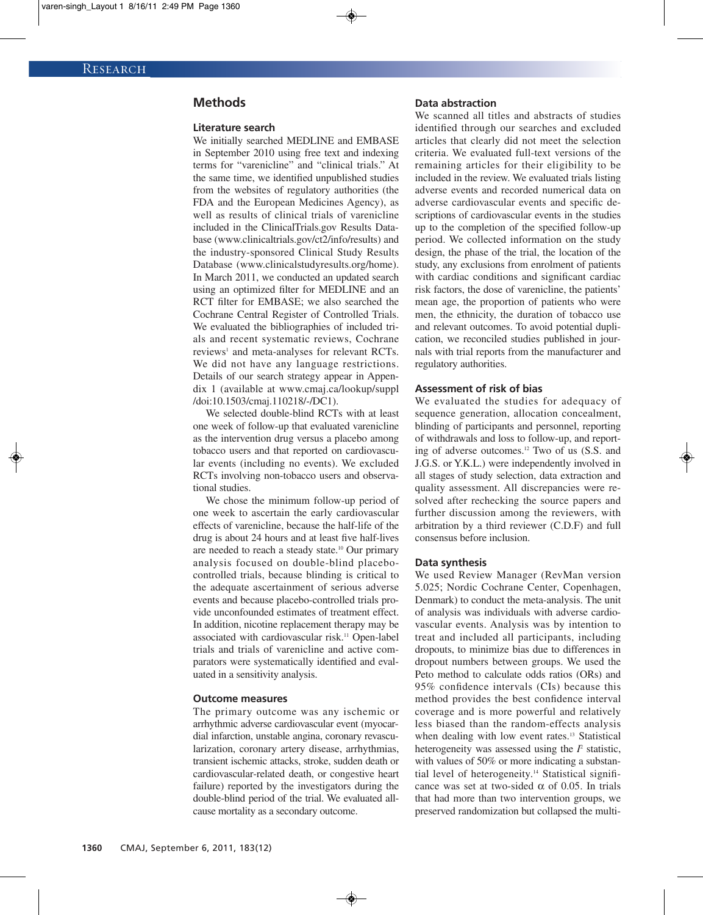# **Methods**

#### **Literature search**

We initially searched MEDLINE and EMBASE in September 2010 using free text and indexing terms for "varenicline" and "clinical trials." At the same time, we identified unpublished studies from the websites of regulatory authorities (the FDA and the European Medicines Agency), as well as results of clinical trials of varenicline included in the ClinicalTrials.gov Results Database (www.clinicaltrials.gov/ct2/info/results) and the industry-sponsored Clinical Study Results Database (www.clinicalstudyresults.org/home). In March 2011, we conducted an updated search using an optimized filter for MEDLINE and an RCT filter for EMBASE; we also searched the Cochrane Central Register of Controlled Trials. We evaluated the bibliographies of included trials and recent systematic reviews, Cochrane reviews<sup>1</sup> and meta-analyses for relevant RCTs. We did not have any language restrictions. Details of our search strategy appear in Appendix 1 (available at www.cmaj.ca/lookup/suppl /doi:10.1503/cmaj.110218/-/DC1).

We selected double-blind RCTs with at least one week of follow-up that evaluated varenicline as the intervention drug versus a placebo among tobacco users and that reported on cardiovascular events (including no events). We excluded RCTs involving non-tobacco users and observational studies.

We chose the minimum follow-up period of one week to ascertain the early cardiovascular effects of varenicline, because the half-life of the drug is about 24 hours and at least five half-lives are needed to reach a steady state.<sup>10</sup> Our primary analysis focused on double-blind placebocontrolled trials, because blinding is critical to the adequate ascertainment of serious adverse events and because placebo-controlled trials provide unconfounded estimates of treatment effect. In addition, nicotine replacement therapy may be associated with cardiovascular risk. <sup>11</sup> Open-label trials and trials of varenicline and active comparators were systematically identified and evaluated in a sensitivity analysis.

#### **Outcome measures**

The primary outcome was any ischemic or arrhythmic adverse cardiovascular event (myocardial infarction, unstable angina, coronary revascularization, coronary artery disease, arrhythmias, transient ischemic attacks, stroke, sudden death or cardiovascular-related death, or congestive heart failure) reported by the investigators during the double-blind period of the trial. We evaluated allcause mortality as a secondary outcome.

## **Data abstraction**

We scanned all titles and abstracts of studies identified through our searches and excluded articles that clearly did not meet the selection criteria. We evaluated full-text versions of the remaining articles for their eligibility to be included in the review. We evaluated trials listing adverse events and recorded numerical data on adverse cardiovascular events and specific descriptions of cardiovascular events in the studies up to the completion of the specified follow-up period. We collected information on the study design, the phase of the trial, the location of the study, any exclusions from enrolment of patients with cardiac conditions and significant cardiac risk factors, the dose of varenicline, the patients' mean age, the proportion of patients who were men, the ethnicity, the duration of tobacco use and relevant outcomes. To avoid potential duplication, we reconciled studies published in journals with trial reports from the manufacturer and regulatory authorities.

#### **Assessment of risk of bias**

We evaluated the studies for adequacy of sequence generation, allocation concealment, blinding of participants and personnel, reporting of withdrawals and loss to follow-up, and reporting of adverse outcomes. <sup>12</sup> Two of us (S.S. and J.G.S. or Y.K.L.) were independently involved in all stages of study selection, data extraction and quality assessment. All discrepancies were resolved after rechecking the source papers and further discussion among the reviewers, with arbitration by a third reviewer (C.D.F) and full consensus before inclusion.

#### **Data synthesis**

We used Review Manager (RevMan version 5.025; Nordic Cochrane Center, Copenhagen, Denmark) to conduct the meta-analysis. The unit of analysis was individuals with adverse cardiovascular events. Analysis was by intention to treat and included all participants, including dropouts, to minimize bias due to differences in dropout numbers between groups. We used the Peto method to calculate odds ratios (ORs) and 95% confidence intervals (CIs) because this method provides the best confidence interval coverage and is more powerful and relatively less biased than the random-effects analysis when dealing with low event rates.<sup>13</sup> Statistical heterogeneity was assessed using the  *statistic,* with values of 50% or more indicating a substantial level of heterogeneity. <sup>14</sup> Statistical significance was set at two-sided  $\alpha$  of 0.05. In trials that had more than two intervention groups, we preserved randomization but collapsed the multi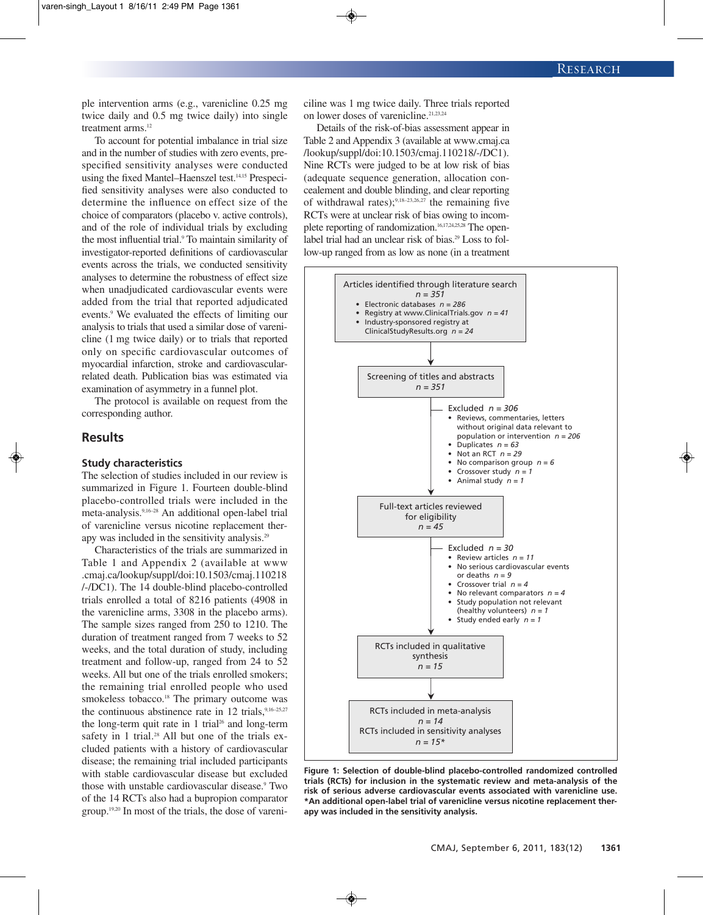ple intervention arms (e.g., varenicline 0.25 mg twice daily and 0.5 mg twice daily) into single treatment arms. 12

To account for potential imbalance in trial size and in the number of studies with zero events, prespecified sensitivity analyses were conducted using the fixed Mantel–Haenszel test. 14,15 Prespecified sensitivity analyses were also conducted to determine the influence on effect size of the choice of comparators (placebo v. active controls), and of the role of individual trials by excluding the most influential trial. <sup>9</sup> To maintain similarity of investigator-reported definitions of cardiovascular events across the trials, we conducted sensitivity analyses to determine the robustness of effect size when unadjudicated cardiovascular events were added from the trial that reported adjudicated events. <sup>9</sup> We evaluated the effects of limiting our analysis to trials that used a similar dose of varenicline (1 mg twice daily) or to trials that reported only on specific cardiovascular outcomes of myocardial infarction, stroke and cardiovascularrelated death. Publication bias was estimated via examination of asymmetry in a funnel plot.

The protocol is available on request from the corresponding author.

# **Results**

### **Study characteristics**

The selection of studies included in our review is summarized in Figure 1. Fourteen double-blind placebo-controlled trials were included in the meta-analysis. 9,16–28 An additional open-label trial of varenicline versus nicotine replacement therapy was included in the sensitivity analysis.<sup>29</sup>

Characteristics of the trials are summarized in Table 1 and Appendix 2 (available at www .cmaj.ca/lookup/suppl/doi:10.1503/cmaj.110218 /-/DC1). The 14 double-blind placebo-controlled trials enrolled a total of 8216 patients (4908 in the varenicline arms, 3308 in the placebo arms). The sample sizes ranged from 250 to 1210. The duration of treatment ranged from 7 weeks to 52 weeks, and the total duration of study, including treatment and follow-up, ranged from 24 to 52 weeks. All but one of the trials enrolled smokers; the remaining trial enrolled people who used smokeless tobacco. <sup>18</sup> The primary outcome was the continuous abstinence rate in 12 trials,<sup>9,16-25,27</sup> the long-term quit rate in 1 trial <sup>26</sup> and long-term safety in 1 trial.<sup>28</sup> All but one of the trials excluded patients with a history of cardiovascular disease; the remaining trial included participants with stable cardiovascular disease but excluded those with unstable cardiovascular disease. <sup>9</sup> Two of the 14 RCTs also had a bupropion comparator group. 19,20 In most of the trials, the dose of vareniciline was 1 mg twice daily. Three trials reported on lower doses of varenicline. 21,23,24

Details of the risk-of-bias assessment appear in Table 2 and Appendix 3 (available at www.cmaj.ca /lookup/suppl/doi:10.1503/cmaj.110218/-/DC1). Nine RCTs were judged to be at low risk of bias (adequate sequence generation, allocation concealement and double blinding, and clear reporting of withdrawal rates);<sup>9,18-23,26,27</sup> the remaining five RCTs were at unclear risk of bias owing to incomplete reporting of randomization. 16,17,24,25,28 The openlabel trial had an unclear risk of bias. <sup>29</sup> Loss to follow-up ranged from as low as none (in a treatment



**Figure 1: Selection of double-blind placebo-controlled randomized controlled trials (RCTs) for inclusion in the systematic review and meta-analysis of the risk of serious adverse cardiovascular events associated with varenicline use. \*An additional open-label trial of varenicline versus nicotine replacement therapy was included in the sensitivity analysis.**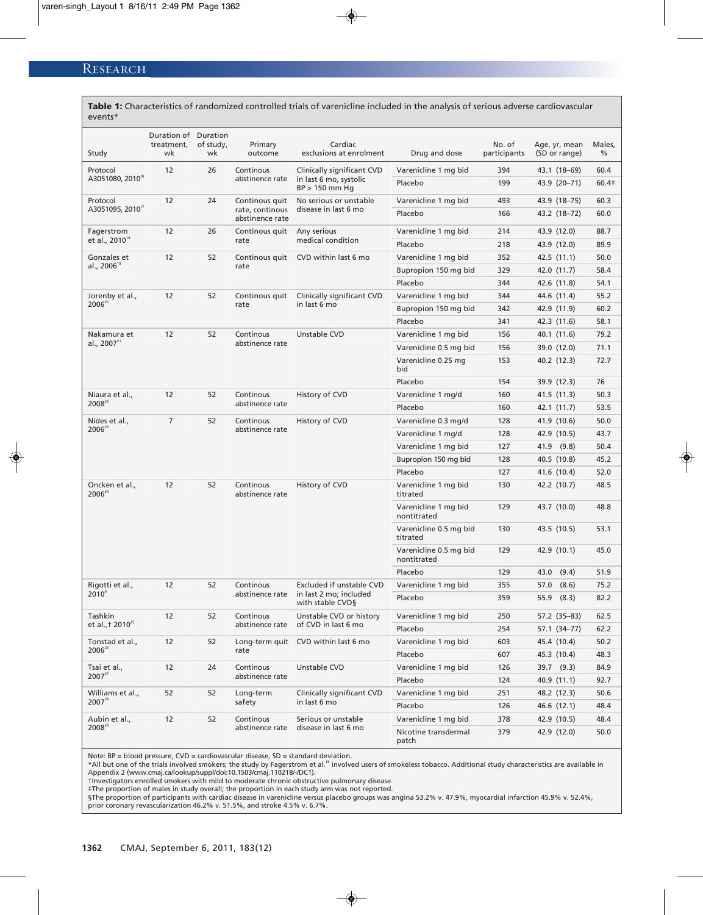| <b>Table 1:</b> Characteristics of randomized controlled trials of varenicime included in the analysis of serious adverse cardiovascular<br>events* |                                          |                 |                                                      |                                                                               |                                       |                        |                                |             |
|-----------------------------------------------------------------------------------------------------------------------------------------------------|------------------------------------------|-----------------|------------------------------------------------------|-------------------------------------------------------------------------------|---------------------------------------|------------------------|--------------------------------|-------------|
| Study                                                                                                                                               | Duration of Duration<br>treatment,<br>wk | of study,<br>wk | Primary<br>outcome                                   | Cardiac<br>exclusions at enrolment                                            | Drug and dose                         | No. of<br>participants | Age, yr, mean<br>(SD or range) | Males,<br>% |
| Protocol                                                                                                                                            | 12                                       | 26              | Continous<br>abstinence rate                         | Clinically significant CVD                                                    | Varenicline 1 mg bid                  | 394                    | 43.1 (18–69)                   | 60.4        |
| A3051080, 2010 <sup>th</sup>                                                                                                                        |                                          |                 |                                                      | in last 6 mo, systolic<br>$BP > 150$ mm Hg                                    | Placebo                               | 199                    | 43.9 (20-71)                   | 60.4‡       |
| Protocol                                                                                                                                            | 12                                       | 24              | Continous quit<br>rate, continous<br>abstinence rate | No serious or unstable                                                        | Varenicline 1 mg bid                  | 493                    | 43.9 (18–75)                   | 60.3        |
| A3051095, 2010 <sup>17</sup>                                                                                                                        |                                          |                 |                                                      | disease in last 6 mo                                                          | Placebo                               | 166                    | 43.2 (18–72)                   | 60.0        |
| Fagerstrom                                                                                                                                          | 12                                       | 26              | Continous quit<br>rate                               | Any serious                                                                   | Varenicline 1 mg bid                  | 214                    | 43.9 (12.0)                    | 88.7        |
| et al., 2010 <sup>18</sup>                                                                                                                          |                                          |                 |                                                      | medical condition                                                             | Placebo                               | 218                    | 43.9 (12.0)                    | 89.9        |
| Gonzales et<br>al., 2006 <sup>19</sup>                                                                                                              | 12                                       | 52              | Continous quit<br>rate                               | CVD within last 6 mo                                                          | Varenicline 1 mg bid                  | 352                    | 42.5 (11.1)                    | 50.0        |
|                                                                                                                                                     |                                          |                 |                                                      |                                                                               | Bupropion 150 mg bid                  | 329                    | 42.0 (11.7)                    | 58.4        |
|                                                                                                                                                     |                                          |                 |                                                      |                                                                               | Placebo                               | 344                    | 42.6 (11.8)                    | 54.1        |
| Jorenby et al.,                                                                                                                                     | 12                                       | 52              | Continous quit<br>rate                               | Clinically significant CVD<br>in last 6 mo                                    | Varenicline 1 mg bid                  | 344                    | 44.6 (11.4)                    | 55.2        |
| $2006^{20}$                                                                                                                                         |                                          |                 |                                                      |                                                                               | Bupropion 150 mg bid                  | 342                    | 42.9 (11.9)                    | 60.2        |
|                                                                                                                                                     |                                          |                 |                                                      |                                                                               | Placebo                               | 341                    | 42.3 (11.6)                    | 58.1        |
| Nakamura et                                                                                                                                         | 12                                       | 52              | Continous<br>abstinence rate                         | Unstable CVD                                                                  | Varenicline 1 mg bid                  | 156                    | 40.1 (11.6)                    | 79.2        |
| al., 2007 $^{21}$                                                                                                                                   |                                          |                 |                                                      |                                                                               | Varenicline 0.5 mg bid                | 156                    | 39.0 (12.0)                    | 71.1        |
|                                                                                                                                                     |                                          |                 |                                                      |                                                                               | Varenicline 0.25 mg<br>bid            | 153                    | 40.2 (12.3)                    | 72.7        |
|                                                                                                                                                     |                                          |                 |                                                      |                                                                               | Placebo                               | 154                    | 39.9 (12.3)                    | 76          |
| Niaura et al.,                                                                                                                                      | 12                                       | 52              | Continous<br>abstinence rate                         | History of CVD                                                                | Varenicline 1 mg/d                    | 160                    | 41.5 (11.3)                    | 50.3        |
| 2008 <sup>22</sup>                                                                                                                                  |                                          |                 |                                                      |                                                                               | Placebo                               | 160                    | 42.1 (11.7)                    | 53.5        |
| Nides et al.,<br>$2006^{23}$                                                                                                                        | $\overline{7}$                           | 52              | Continous<br>abstinence rate                         | History of CVD                                                                | Varenicline 0.3 mg/d                  | 128                    | 41.9 (10.6)                    | 50.0        |
|                                                                                                                                                     |                                          |                 |                                                      |                                                                               | Varenicline 1 mg/d                    | 128                    | 42.9 (10.5)                    | 43.7        |
|                                                                                                                                                     |                                          |                 |                                                      |                                                                               | Varenicline 1 mg bid                  | 127                    | 41.9 (9.8)                     | 50.4        |
|                                                                                                                                                     |                                          |                 |                                                      |                                                                               | Bupropion 150 mg bid                  | 128                    | 40.5 (10.8)                    | 45.2        |
|                                                                                                                                                     |                                          |                 |                                                      |                                                                               | Placebo                               | 127                    | 41.6 (10.4)                    | 52.0        |
| Oncken et al.,<br>$2006^{24}$                                                                                                                       | 12                                       | 52              | Continous<br>abstinence rate                         | History of CVD                                                                | Varenicline 1 mg bid<br>titrated      | 130                    | 42.2 (10.7)                    | 48.5        |
|                                                                                                                                                     |                                          |                 |                                                      |                                                                               | Varenicline 1 mg bid<br>nontitrated   | 129                    | 43.7 (10.0)                    | 48.8        |
|                                                                                                                                                     |                                          |                 |                                                      |                                                                               | Varenicline 0.5 mg bid<br>titrated    | 130                    | 43.5 (10.5)                    | 53.1        |
|                                                                                                                                                     |                                          |                 |                                                      |                                                                               | Varenicline 0.5 mg bid<br>nontitrated | 129                    | 42.9 (10.1)                    | 45.0        |
|                                                                                                                                                     |                                          |                 |                                                      |                                                                               | Placebo                               | 129                    | 43.0 (9.4)                     | 51.9        |
| Rigotti et al.<br>$2010^{\circ}$                                                                                                                    | 12                                       | 52              | Continous<br>abstinence rate                         | <b>Excluded if unstable CVD</b><br>in last 2 mo; included<br>with stable CVD§ | Varenicline 1 mg bid                  | 355                    | 57.0 (8.6)                     | 75.2        |
|                                                                                                                                                     |                                          |                 |                                                      |                                                                               | Placebo                               | 359                    | 55.9 (8.3)                     | 82.2        |
| Tashkin<br>et al., † 2010 <sup>25</sup>                                                                                                             | 12                                       | 52              | Continous<br>abstinence rate                         | Unstable CVD or history<br>of CVD in last 6 mo                                | Varenicline 1 mg bid                  | 250                    | 57.2 (35–83)                   | 62.5        |
|                                                                                                                                                     |                                          |                 |                                                      |                                                                               | Placebo                               | 254                    | 57.1 (34–77)                   | 62.2        |
| Tonstad et al.,<br>2006 <sup>26</sup>                                                                                                               | 12                                       | 52              | rate                                                 | Long-term quit CVD within last 6 mo                                           | Varenicline 1 mg bid                  | 603                    | 45.4 (10.4)                    | 50.2        |
|                                                                                                                                                     |                                          |                 |                                                      |                                                                               | Placebo                               | 607                    | 45.3 (10.4)                    | 48.3        |
| Tsai et al.,<br>$2007^{27}$                                                                                                                         | 12                                       | 24              | Continous<br>abstinence rate                         | Unstable CVD                                                                  | Varenicline 1 mg bid                  | 126                    | 39.7 (9.3)                     | 84.9        |
|                                                                                                                                                     |                                          |                 |                                                      |                                                                               | Placebo                               | 124                    | 40.9 (11.1)                    | 92.7        |
| Williams et al.,<br>$2007^{28}$                                                                                                                     | 52                                       | 52              | Long-term<br>safety                                  | Clinically significant CVD<br>in last 6 mo                                    | Varenicline 1 mg bid                  | 251                    | 48.2 (12.3)                    | 50.6        |
|                                                                                                                                                     |                                          |                 |                                                      |                                                                               | Placebo                               | 126                    | 46.6 (12.1)                    | 48.4        |
| Aubin et al.,                                                                                                                                       | 12                                       | 52              | Continous<br>abstinence rate                         | Serious or unstable<br>disease in last 6 mo                                   | Varenicline 1 mg bid                  | 378                    | 42.9 (10.5)                    | 48.4        |
| 2008 <sup>29</sup>                                                                                                                                  |                                          |                 |                                                      |                                                                               | Nicotine transdermal<br>patch         | 379                    | 42.9 (12.0)                    | 50.0        |

**Table 1:** Characteristics of randomized controlled trials of varenicline included in the analysis of serious adverse cardiovascular

Note: BP = blood pressure, CVD = cardiovascular disease, SD = standard deviation.

\*All but one of the trials involved smokers; the study by Fagerstrom et al.<sup>18</sup> involved users of smokeless tobacco. Additional study characteristics are available in Appendix 2 (www.cmaj.ca/lookup/suppl/doi:10.1503/cmaj.110218/-/DC1).

†Investigators enrolled smokers with mild to moderate chronic obstructive pulmonary disease.

‡The proportion of males in study overall; the proportion in each study arm was not reported.

§The proportion of participants with cardiac disease in varenicline versus placebo groups was angina 53.2% v. 47.9%, myocardial infarction 45.9% v. 52.4%, prior coronary revascularization 46.2% v. 51.5%, and stroke 4.5% v. 6.7%.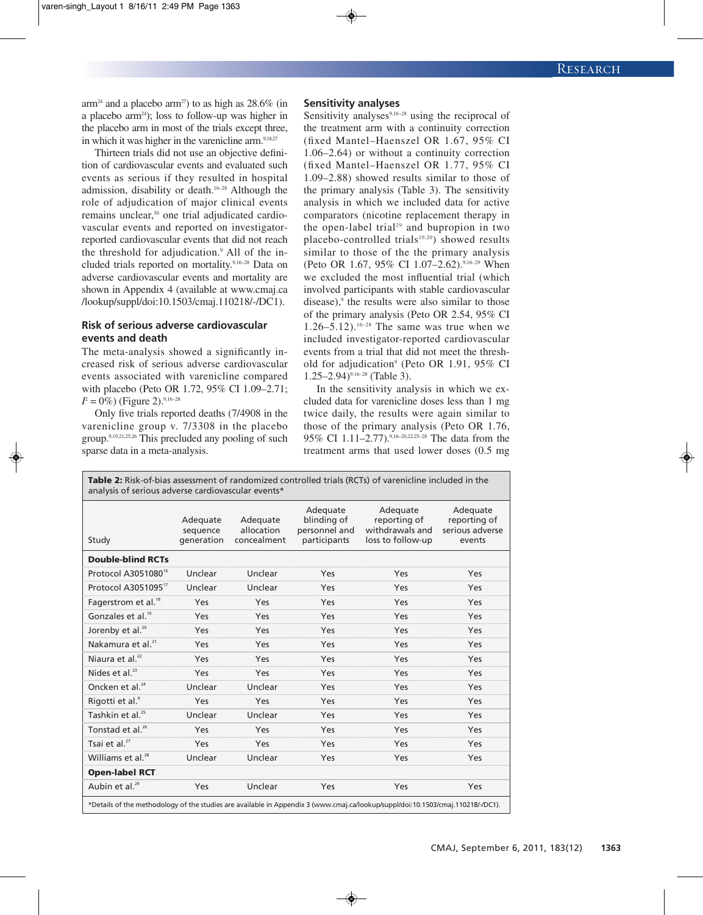$arm<sup>24</sup>$  and a placebo arm<sup>27</sup>) to as high as 28.6% (in a placebo arm<sup>24</sup>); loss to follow-up was higher in the placebo arm in most of the trials except three, in which it was higher in the varenicline arm.<sup>9,18,27</sup>

Thirteen trials did not use an objective definition of cardiovascular events and evaluated such events as serious if they resulted in hospital admission, disability or death. 16–28 Although the role of adjudication of major clinical events remains unclear, <sup>30</sup> one trial adjudicated cardiovascular events and reported on investigatorreported cardiovascular events that did not reach the threshold for adjudication. <sup>9</sup> All of the included trials reported on mortality. 9,16–28 Data on adverse cardiovascular events and mortality are shown in Appendix 4 (available at www.cmaj.ca /lookup/suppl/doi:10.1503/cmaj.110218/-/DC1).

# **Risk of serious adverse cardiovascular events and death**

The meta-analysis showed a significantly increased risk of serious adverse cardiovascular events associated with varenicline compared with placebo (Peto OR 1.72, 95% CI 1.09–2.71;  $I^2 = 0\%$ ) (Figure 2).<sup>9,16–28</sup>

Only five trials reported deaths (7/4908 in the varenicline group v. 7/3308 in the placebo group. 9,19,21,25,26 This precluded any pooling of such sparse data in a meta-analysis.

### **Sensitivity analyses**

Sensitivity analyses $9,16-28$  using the reciprocal of the treatment arm with a continuity correction (fixed Mantel–Haenszel OR 1.67, 95% CI 1.06–2.64) or without a continuity correction (fixed Mantel–Haenszel OR 1.77, 95% CI 1.09–2.88) showed results similar to those of the primary analysis (Table 3). The sensitivity analysis in which we included data for active comparators (nicotine replacement therapy in the open-label trial <sup>29</sup> and bupropion in two placebo-controlled trials<sup>19,20</sup>) showed results similar to those of the the primary analysis (Peto OR 1.67, 95% CI 1.07–2.62). 9,16–29 When we excluded the most influential trial (which involved participants with stable cardiovascular disease), <sup>9</sup> the results were also similar to those of the primary analysis (Peto OR 2.54, 95% CI  $1.26-5.12$ ).<sup>16-28</sup> The same was true when we included investigator-reported cardiovascular events from a trial that did not meet the threshold for adjudication<sup>9</sup> (Peto OR 1.91, 95% CI 1.25–2.94) 9,16–28 (Table 3).

In the sensitivity analysis in which we excluded data for varenicline doses less than 1 mg twice daily, the results were again similar to those of the primary analysis (Peto OR 1.76, 95% CI 1.11–2.77).<sup>9,16–20,22,25–28</sup> The data from the treatment arms that used lower doses (0.5 mg

|                                 |                        |                           | Adequate                      | Adequate                             | Adequate                  |  |
|---------------------------------|------------------------|---------------------------|-------------------------------|--------------------------------------|---------------------------|--|
|                                 | Adequate               | Adequate                  | blinding of                   | reporting of                         | reporting of              |  |
| Study                           | sequence<br>generation | allocation<br>concealment | personnel and<br>participants | withdrawals and<br>loss to follow-up | serious adverse<br>events |  |
| <b>Double-blind RCTs</b>        |                        |                           |                               |                                      |                           |  |
| Protocol A3051080 <sup>16</sup> | Unclear                | Unclear                   | Yes                           | Yes                                  | Yes                       |  |
| Protocol A305109517             | Unclear                | Unclear                   | Yes                           | Yes                                  | Yes                       |  |
| Fagerstrom et al. <sup>18</sup> | Yes                    | Yes                       | Yes                           | Yes                                  | Yes                       |  |
| Gonzales et al. <sup>19</sup>   | Yes                    | Yes                       | Yes                           | Yes                                  | Yes                       |  |
| Jorenby et al. <sup>20</sup>    | Yes                    | Yes                       | Yes                           | Yes                                  | Yes                       |  |
| Nakamura et al. <sup>21</sup>   | Yes                    | Yes                       | Yes                           | Yes                                  | Yes                       |  |
| Niaura et al. $^{22}$           | Yes                    | Yes                       | Yes                           | Yes                                  | Yes                       |  |
| Nides et al. $^{23}$            | Yes                    | Yes                       | Yes                           | Yes                                  | Yes                       |  |
| Oncken et al. <sup>24</sup>     | Unclear                | Unclear                   | Yes                           | Yes                                  | Yes                       |  |
| Rigotti et al. <sup>9</sup>     | Yes                    | Yes                       | Yes                           | Yes                                  | Yes                       |  |
| Tashkin et al. <sup>25</sup>    | Unclear                | Unclear                   | Yes                           | Yes                                  | Yes                       |  |
| Tonstad et al. <sup>26</sup>    | Yes                    | Yes                       | Yes                           | Yes                                  | Yes                       |  |
| Tsai et al. <sup>27</sup>       | Yes                    | Yes                       | <b>Yes</b>                    | Yes                                  | Yes                       |  |
| Williams et al. <sup>28</sup>   | Unclear                | Unclear                   | Yes                           | Yes                                  | Yes                       |  |
| <b>Open-label RCT</b>           |                        |                           |                               |                                      |                           |  |
| Aubin et al. <sup>29</sup>      | Yes                    | Unclear                   | Yes                           | Yes                                  | Yes                       |  |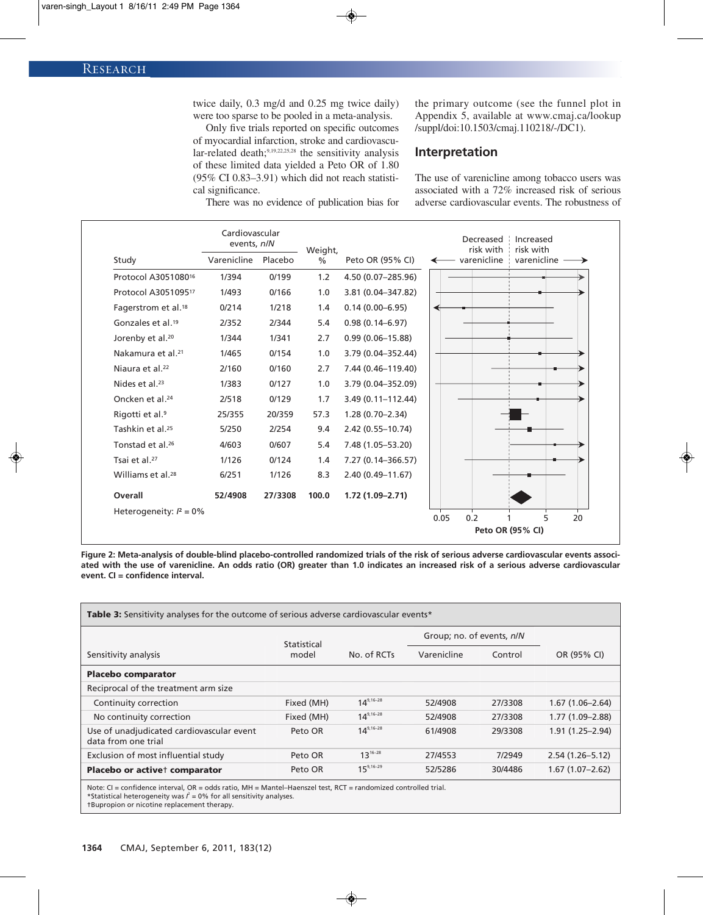twice daily, 0.3 mg/d and 0.25 mg twice daily) were too sparse to be pooled in a meta-analysis.

Only five trials reported on specific outcomes of myocardial infarction, stroke and cardiovascular-related death;<sup>9,19,22,25,28</sup> the sensitivity analysis of these limited data yielded a Peto OR of 1.80 (95% CI 0.83–3.91) which did not reach statistical significance.

There was no evidence of publication bias for

the primary outcome (see the funnel plot in Appendix 5, available at www.cmaj.ca/lookup /suppl/doi:10.1503/cmaj.110218/-/DC1).

# **Interpretation**

The use of varenicline among tobacco users was associated with a 72% increased risk of serious adverse cardiovascular events. The robustness of

|                                 | Cardiovascular<br>events, n/N |         | Weight,       |                       | Increased<br>Decreased<br>risk with<br>risk with |  |  |
|---------------------------------|-------------------------------|---------|---------------|-----------------------|--------------------------------------------------|--|--|
| Study                           | Varenicline                   | Placebo | $\frac{0}{0}$ | Peto OR (95% CI)      | varenicline<br>varenicline                       |  |  |
| Protocol A305108016             | 1/394                         | 0/199   | 1.2           | 4.50 (0.07-285.96)    |                                                  |  |  |
| Protocol A305109517             | 1/493                         | 0/166   | 1.0           | 3.81 (0.04-347.82)    |                                                  |  |  |
| Fagerstrom et al. <sup>18</sup> | 0/214                         | 1/218   | 1.4           | $0.14(0.00 - 6.95)$   |                                                  |  |  |
| Gonzales et al. <sup>19</sup>   | 2/352                         | 2/344   | 5.4           | $0.98(0.14 - 6.97)$   |                                                  |  |  |
| Jorenby et al. <sup>20</sup>    | 1/344                         | 1/341   | 2.7           | $0.99(0.06 - 15.88)$  |                                                  |  |  |
| Nakamura et al. <sup>21</sup>   | 1/465                         | 0/154   | 1.0           | 3.79 (0.04-352.44)    |                                                  |  |  |
| Niaura et al. <sup>22</sup>     | 2/160                         | 0/160   | 2.7           | 7.44 (0.46-119.40)    |                                                  |  |  |
| Nides et al. <sup>23</sup>      | 1/383                         | 0/127   | 1.0           | 3.79 (0.04-352.09)    |                                                  |  |  |
| Oncken et al. <sup>24</sup>     | 2/518                         | 0/129   | 1.7           | $3.49(0.11 - 112.44)$ |                                                  |  |  |
| Rigotti et al. <sup>9</sup>     | 25/355                        | 20/359  | 57.3          | $1.28(0.70 - 2.34)$   |                                                  |  |  |
| Tashkin et al. <sup>25</sup>    | 5/250                         | 2/254   | 9.4           | 2.42 (0.55-10.74)     |                                                  |  |  |
| Tonstad et al. <sup>26</sup>    | 4/603                         | 0/607   | 5.4           | 7.48 (1.05-53.20)     |                                                  |  |  |
| Tsai et al. <sup>27</sup>       | 1/126                         | 0/124   | 1.4           | 7.27 (0.14-366.57)    |                                                  |  |  |
| Williams et al. <sup>28</sup>   | 6/251                         | 1/126   | 8.3           | $2.40(0.49 - 11.67)$  |                                                  |  |  |
| Overall                         | 52/4908                       | 27/3308 | 100.0         | $1.72(1.09 - 2.71)$   |                                                  |  |  |
| Heterogeneity: $I^2 = 0\%$      |                               |         |               |                       | 0.2<br>5<br>0.05<br>20                           |  |  |
|                                 |                               |         |               | Peto OR (95% CI)      |                                                  |  |  |

Figure 2: Meta-analysis of double-blind placebo-controlled randomized trials of the risk of serious adverse cardiovascular events associated with the use of varenicline. An odds ratio (OR) greater than 1.0 indicates an increased risk of a serious adverse cardiovascular **event. CI = confidence interval.**

| Table 3: Sensitivity analyses for the outcome of serious adverse cardiovascular events*                                                                                                                                        |                      |                |                           |         |                     |  |  |  |
|--------------------------------------------------------------------------------------------------------------------------------------------------------------------------------------------------------------------------------|----------------------|----------------|---------------------------|---------|---------------------|--|--|--|
|                                                                                                                                                                                                                                | Statistical<br>model | No. of RCTs    | Group; no. of events, n/N |         |                     |  |  |  |
| Sensitivity analysis                                                                                                                                                                                                           |                      |                | Varenicline               | Control | OR (95% CI)         |  |  |  |
| <b>Placebo comparator</b>                                                                                                                                                                                                      |                      |                |                           |         |                     |  |  |  |
| Reciprocal of the treatment arm size                                                                                                                                                                                           |                      |                |                           |         |                     |  |  |  |
| Continuity correction                                                                                                                                                                                                          | Fixed (MH)           | $14^{9,16-28}$ | 52/4908                   | 27/3308 | $1.67(1.06 - 2.64)$ |  |  |  |
| No continuity correction                                                                                                                                                                                                       | Fixed (MH)           | $14^{9,16-28}$ | 52/4908                   | 27/3308 | $1.77(1.09 - 2.88)$ |  |  |  |
| Use of unadjudicated cardiovascular event<br>data from one trial                                                                                                                                                               | Peto OR              | $14^{9,16-28}$ | 61/4908                   | 29/3308 | $1.91(1.25 - 2.94)$ |  |  |  |
| Exclusion of most influential study                                                                                                                                                                                            | Peto OR              | $13^{16-28}$   | 27/4553                   | 7/2949  | $2.54(1.26 - 5.12)$ |  |  |  |
| Placebo or activet comparator                                                                                                                                                                                                  | Peto OR              | $15^{9,16-29}$ | 52/5286                   | 30/4486 | $1.67(1.07 - 2.62)$ |  |  |  |
| At a control of the control of a set and a set of the control of the control of the control of the control of the control of the control of the control of the control of the control of the control of the control of the con |                      |                |                           |         |                     |  |  |  |

Note: CI = confidence interval, OR = odds ratio, MH = Mantel–Haenszel test, RCT = randomized controlled trial.<br>\*Statistical heterogeneity was /<sup>2</sup> = 0% for all sensitivity analyses. †Bupropion or nicotine replacement therapy.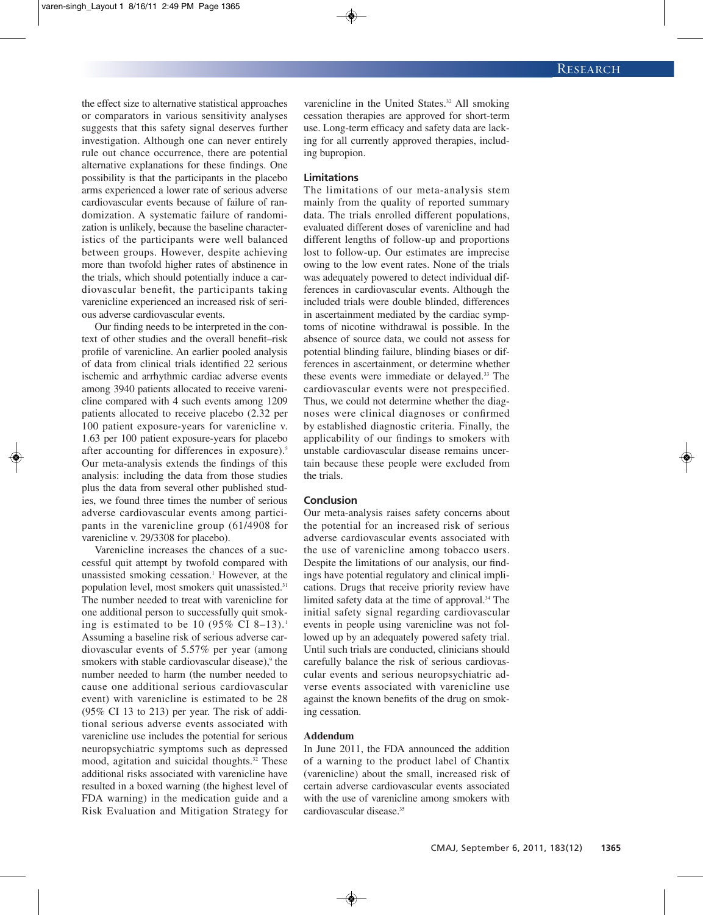the effect size to alternative statistical approaches or comparators in various sensitivity analyses suggests that this safety signal deserves further investigation. Although one can never entirely rule out chance occurrence, there are potential alternative explanations for these findings. One possibility is that the participants in the placebo arms experienced a lower rate of serious adverse cardiovascular events because of failure of randomization. A systematic failure of randomization is unlikely, because the baseline characteristics of the participants were well balanced between groups. However, despite achieving more than twofold higher rates of abstinence in the trials, which should potentially induce a cardiovascular benefit, the participants taking varenicline experienced an increased risk of serious adverse cardiovascular events.

Our finding needs to be interpreted in the context of other studies and the overall benefit–risk profile of varenicline. An earlier pooled analysis of data from clinical trials identified 22 serious ischemic and arrhythmic cardiac adverse events among 3940 patients allocated to receive varenicline compared with 4 such events among 1209 patients allocated to receive placebo (2.32 per 100 patient exposure-years for varenicline v. 1.63 per 100 patient exposure-years for placebo after accounting for differences in exposure). 5 Our meta-analysis extends the findings of this analysis: including the data from those studies plus the data from several other published studies, we found three times the number of serious adverse cardiovascular events among participants in the varenicline group (61/4908 for varenicline v. 29/3308 for placebo).

Varenicline increases the chances of a successful quit attempt by twofold compared with unassisted smoking cessation. <sup>1</sup> However, at the population level, most smokers quit unassisted.<sup>31</sup> The number needed to treat with varenicline for one additional person to successfully quit smoking is estimated to be 10 (95% CI 8–13).<sup>1</sup> Assuming a baseline risk of serious adverse cardiovascular events of 5.57% per year (among smokers with stable cardiovascular disease), <sup>9</sup> the number needed to harm (the number needed to cause one additional serious cardiovascular event) with varenicline is estimated to be 28 (95% CI 13 to 213) per year. The risk of additional serious adverse events associated with varenicline use includes the potential for serious neuropsychiatric symptoms such as depressed mood, agitation and suicidal thoughts. <sup>32</sup> These additional risks associated with varenicline have resulted in a boxed warning (the highest level of FDA warning) in the medication guide and a Risk Evaluation and Mitigation Strategy for

varenicline in the United States. <sup>32</sup> All smoking cessation therapies are approved for short-term use. Long-term efficacy and safety data are lacking for all currently approved therapies, including bupropion.

#### **Limitations**

The limitations of our meta-analysis stem mainly from the quality of reported summary data. The trials enrolled different populations, evaluated different doses of varenicline and had different lengths of follow-up and proportions lost to follow-up. Our estimates are imprecise owing to the low event rates. None of the trials was adequately powered to detect individual differences in cardiovascular events. Although the included trials were double blinded, differences in ascertainment mediated by the cardiac symptoms of nicotine withdrawal is possible. In the absence of source data, we could not assess for potential blinding failure, blinding biases or differences in ascertainment, or determine whether these events were immediate or delayed. <sup>33</sup> The cardiovascular events were not prespecified. Thus, we could not determine whether the diagnoses were clinical diagnoses or confirmed by established diagnostic criteria. Finally, the applicability of our findings to smokers with unstable cardiovascular disease remains uncertain because these people were excluded from the trials.

## **Conclusion**

Our meta-analysis raises safety concerns about the potential for an increased risk of serious adverse cardiovascular events associated with the use of varenicline among tobacco users. Despite the limitations of our analysis, our findings have potential regulatory and clinical implications. Drugs that receive priority review have limited safety data at the time of approval. <sup>34</sup> The initial safety signal regarding cardiovascular events in people using varenicline was not followed up by an adequately powered safety trial. Until such trials are conducted, clinicians should carefully balance the risk of serious cardiovascular events and serious neuropsychiatric adverse events associated with varenicline use against the known benefits of the drug on smoking cessation.

#### **Addendum**

In June 2011, the FDA announced the addition of a warning to the product label of Chantix (varenicline) about the small, increased risk of certain adverse cardiovascular events associated with the use of varenicline among smokers with cardiovascular disease. 35